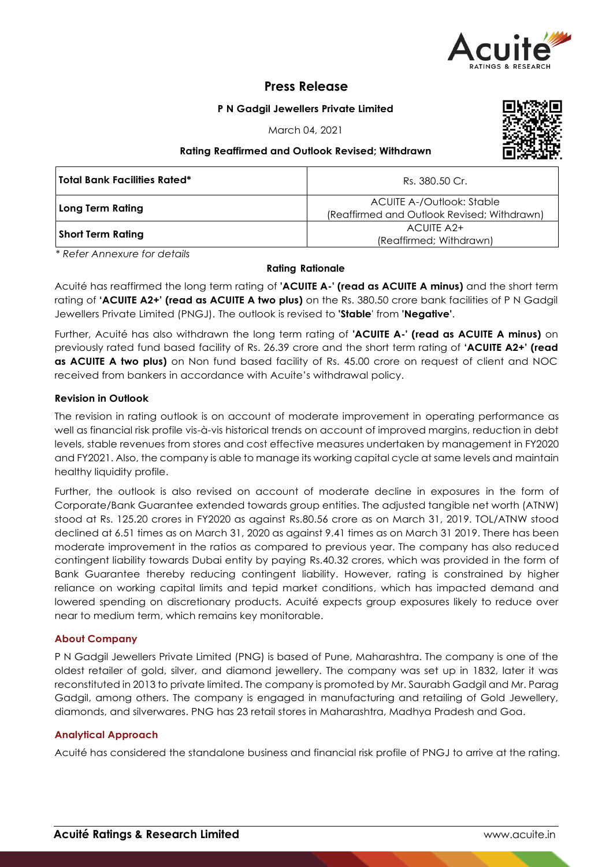

# **Press Release**

## **P N Gadgil Jewellers Private Limited**

March 04, 2021

## **Rating Reaffirmed and Outlook Revised; Withdrawn**



| Total Bank Facilities Rated* | Rs. 380.50 Cr.                                                           |
|------------------------------|--------------------------------------------------------------------------|
| Long Term Rating             | ACUITE A-/Outlook: Stable<br>(Reaffirmed and Outlook Revised; Withdrawn) |
| <b>Short Term Rating</b>     | ACUITE A2+<br>(Reaffirmed; Withdrawn)                                    |

*\* Refer Annexure for details*

#### **Rating Rationale**

Acuité has reaffirmed the long term rating of **'ACUITE A-' (read as ACUITE A minus)** and the short term rating of **'ACUITE A2+' (read as ACUITE A two plus)** on the Rs. 380.50 crore bank facilities of P N Gadgil Jewellers Private Limited (PNGJ). The outlook is revised to **'Stable**' from **'Negative'**.

Further, Acuité has also withdrawn the long term rating of **'ACUITE A-' (read as ACUITE A minus)** on previously rated fund based facility of Rs. 26.39 crore and the short term rating of **'ACUITE A2+' (read as ACUITE A two plus)** on Non fund based facility of Rs. 45.00 crore on request of client and NOC received from bankers in accordance with Acuite's withdrawal policy.

#### **Revision in Outlook**

The revision in rating outlook is on account of moderate improvement in operating performance as well as financial risk profile vis-à-vis historical trends on account of improved margins, reduction in debt levels, stable revenues from stores and cost effective measures undertaken by management in FY2020 and FY2021. Also, the company is able to manage its working capital cycle at same levels and maintain healthy liquidity profile.

Further, the outlook is also revised on account of moderate decline in exposures in the form of Corporate/Bank Guarantee extended towards group entities. The adjusted tangible net worth (ATNW) stood at Rs. 125.20 crores in FY2020 as against Rs.80.56 crore as on March 31, 2019. TOL/ATNW stood declined at 6.51 times as on March 31, 2020 as against 9.41 times as on March 31 2019. There has been moderate improvement in the ratios as compared to previous year. The company has also reduced contingent liability towards Dubai entity by paying Rs.40.32 crores, which was provided in the form of Bank Guarantee thereby reducing contingent liability. However, rating is constrained by higher reliance on working capital limits and tepid market conditions, which has impacted demand and lowered spending on discretionary products. Acuité expects group exposures likely to reduce over near to medium term, which remains key monitorable.

## **About Company**

P N Gadgil Jewellers Private Limited (PNG) is based of Pune, Maharashtra. The company is one of the oldest retailer of gold, silver, and diamond jewellery. The company was set up in 1832, later it was reconstituted in 2013 to private limited. The company is promoted by Mr. Saurabh Gadgil and Mr. Parag Gadgil, among others. The company is engaged in manufacturing and retailing of Gold Jewellery, diamonds, and silverwares. PNG has 23 retail stores in Maharashtra, Madhya Pradesh and Goa.

## **Analytical Approach**

Acuité has considered the standalone business and financial risk profile of PNGJ to arrive at the rating.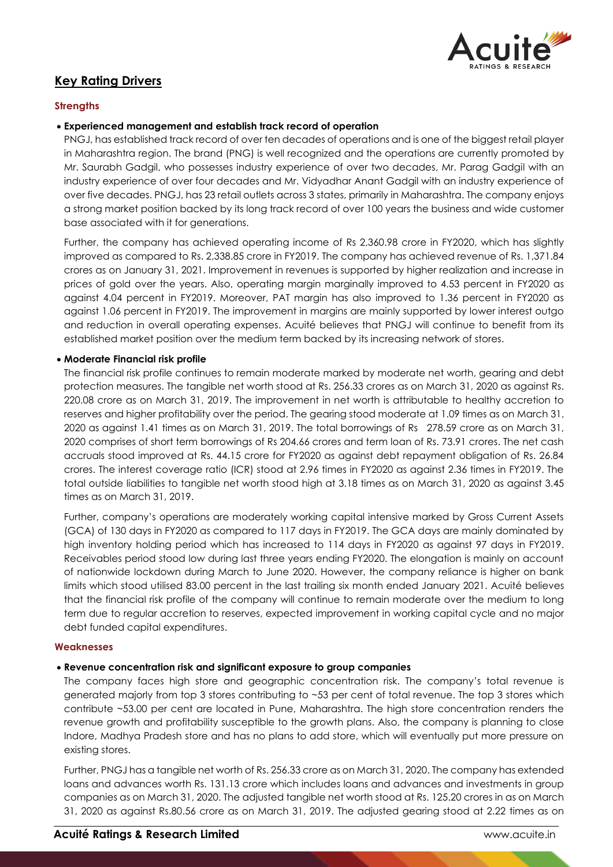

# **Key Rating Drivers**

# **Strengths**

## **Experienced management and establish track record of operation**

PNGJ, has established track record of over ten decades of operations and is one of the biggest retail player in Maharashtra region. The brand (PNG) is well recognized and the operations are currently promoted by Mr. Saurabh Gadgil, who possesses industry experience of over two decades, Mr. Parag Gadgil with an industry experience of over four decades and Mr. Vidyadhar Anant Gadgil with an industry experience of over five decades. PNGJ, has 23 retail outlets across 3 states, primarily in Maharashtra. The company enjoys a strong market position backed by its long track record of over 100 years the business and wide customer base associated with it for generations.

Further, the company has achieved operating income of Rs 2,360.98 crore in FY2020, which has slightly improved as compared to Rs. 2,338.85 crore in FY2019. The company has achieved revenue of Rs. 1,371.84 crores as on January 31, 2021. Improvement in revenues is supported by higher realization and increase in prices of gold over the years. Also, operating margin marginally improved to 4.53 percent in FY2020 as against 4.04 percent in FY2019. Moreover, PAT margin has also improved to 1.36 percent in FY2020 as against 1.06 percent in FY2019. The improvement in margins are mainly supported by lower interest outgo and reduction in overall operating expenses. Acuité believes that PNGJ will continue to benefit from its established market position over the medium term backed by its increasing network of stores.

# **Moderate Financial risk profile**

The financial risk profile continues to remain moderate marked by moderate net worth, gearing and debt protection measures. The tangible net worth stood at Rs. 256.33 crores as on March 31, 2020 as against Rs. 220.08 crore as on March 31, 2019. The improvement in net worth is attributable to healthy accretion to reserves and higher profitability over the period. The gearing stood moderate at 1.09 times as on March 31, 2020 as against 1.41 times as on March 31, 2019. The total borrowings of Rs 278.59 crore as on March 31, 2020 comprises of short term borrowings of Rs 204.66 crores and term loan of Rs. 73.91 crores. The net cash accruals stood improved at Rs. 44.15 crore for FY2020 as against debt repayment obligation of Rs. 26.84 crores. The interest coverage ratio (ICR) stood at 2.96 times in FY2020 as against 2.36 times in FY2019. The total outside liabilities to tangible net worth stood high at 3.18 times as on March 31, 2020 as against 3.45 times as on March 31, 2019.

Further, company's operations are moderately working capital intensive marked by Gross Current Assets (GCA) of 130 days in FY2020 as compared to 117 days in FY2019. The GCA days are mainly dominated by high inventory holding period which has increased to 114 days in FY2020 as against 97 days in FY2019. Receivables period stood low during last three years ending FY2020. The elongation is mainly on account of nationwide lockdown during March to June 2020. However, the company reliance is higher on bank limits which stood utilised 83.00 percent in the last trailing six month ended January 2021. Acuité believes that the financial risk profile of the company will continue to remain moderate over the medium to long term due to regular accretion to reserves, expected improvement in working capital cycle and no major debt funded capital expenditures.

## **Weaknesses**

## **Revenue concentration risk and significant exposure to group companies**

The company faces high store and geographic concentration risk. The company's total revenue is generated majorly from top 3 stores contributing to ~53 per cent of total revenue. The top 3 stores which contribute ~53.00 per cent are located in Pune, Maharashtra. The high store concentration renders the revenue growth and profitability susceptible to the growth plans. Also, the company is planning to close Indore, Madhya Pradesh store and has no plans to add store, which will eventually put more pressure on existing stores.

Further, PNGJ has a tangible net worth of Rs. 256.33 crore as on March 31, 2020. The company has extended loans and advances worth Rs. 131.13 crore which includes loans and advances and investments in group companies as on March 31, 2020. The adjusted tangible net worth stood at Rs. 125.20 crores in as on March 31, 2020 as against Rs.80.56 crore as on March 31, 2019. The adjusted gearing stood at 2.22 times as on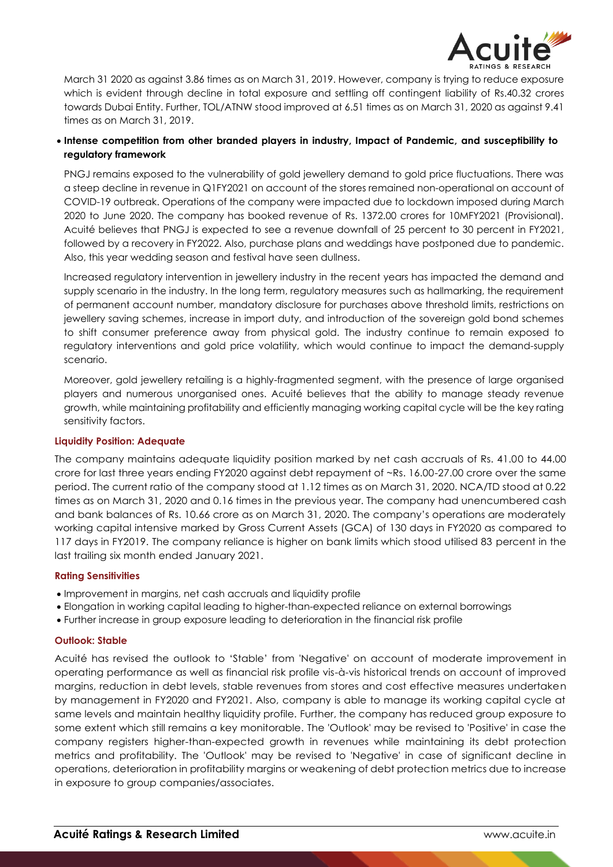

March 31 2020 as against 3.86 times as on March 31, 2019. However, company is trying to reduce exposure which is evident through decline in total exposure and settling off contingent liability of Rs.40.32 crores towards Dubai Entity. Further, TOL/ATNW stood improved at 6.51 times as on March 31, 2020 as against 9.41 times as on March 31, 2019.

# **Intense competition from other branded players in industry, Impact of Pandemic, and susceptibility to regulatory framework**

PNGJ remains exposed to the vulnerability of gold jewellery demand to gold price fluctuations. There was a steep decline in revenue in Q1FY2021 on account of the stores remained non-operational on account of COVID-19 outbreak. Operations of the company were impacted due to lockdown imposed during March 2020 to June 2020. The company has booked revenue of Rs. 1372.00 crores for 10MFY2021 (Provisional). Acuité believes that PNGJ is expected to see a revenue downfall of 25 percent to 30 percent in FY2021, followed by a recovery in FY2022. Also, purchase plans and weddings have postponed due to pandemic. Also, this year wedding season and festival have seen dullness.

Increased regulatory intervention in jewellery industry in the recent years has impacted the demand and supply scenario in the industry. In the long term, regulatory measures such as hallmarking, the requirement of permanent account number, mandatory disclosure for purchases above threshold limits, restrictions on jewellery saving schemes, increase in import duty, and introduction of the sovereign gold bond schemes to shift consumer preference away from physical gold. The industry continue to remain exposed to regulatory interventions and gold price volatility, which would continue to impact the demand-supply scenario.

Moreover, gold jewellery retailing is a highly-fragmented segment, with the presence of large organised players and numerous unorganised ones. Acuité believes that the ability to manage steady revenue growth, while maintaining profitability and efficiently managing working capital cycle will be the key rating sensitivity factors.

## **Liquidity Position: Adequate**

The company maintains adequate liquidity position marked by net cash accruals of Rs. 41.00 to 44.00 crore for last three years ending FY2020 against debt repayment of ~Rs. 16.00-27.00 crore over the same period. The current ratio of the company stood at 1.12 times as on March 31, 2020. NCA/TD stood at 0.22 times as on March 31, 2020 and 0.16 times in the previous year. The company had unencumbered cash and bank balances of Rs. 10.66 crore as on March 31, 2020. The company's operations are moderately working capital intensive marked by Gross Current Assets (GCA) of 130 days in FY2020 as compared to 117 days in FY2019. The company reliance is higher on bank limits which stood utilised 83 percent in the last trailing six month ended January 2021.

## **Rating Sensitivities**

- Improvement in margins, net cash accruals and liquidity profile
- Elongation in working capital leading to higher-than-expected reliance on external borrowings
- Further increase in group exposure leading to deterioration in the financial risk profile

## **Outlook: Stable**

Acuité has revised the outlook to 'Stable' from 'Negative' on account of moderate improvement in operating performance as well as financial risk profile vis-à-vis historical trends on account of improved margins, reduction in debt levels, stable revenues from stores and cost effective measures undertaken by management in FY2020 and FY2021. Also, company is able to manage its working capital cycle at same levels and maintain healthy liquidity profile. Further, the company has reduced group exposure to some extent which still remains a key monitorable. The 'Outlook' may be revised to 'Positive' in case the company registers higher-than-expected growth in revenues while maintaining its debt protection metrics and profitability. The 'Outlook' may be revised to 'Negative' in case of significant decline in operations, deterioration in profitability margins or weakening of debt protection metrics due to increase in exposure to group companies/associates.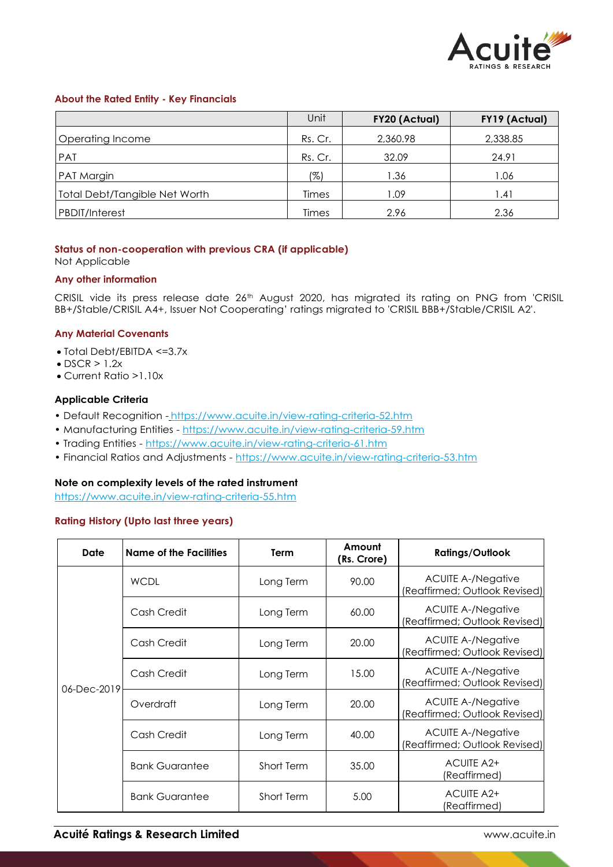

#### **About the Rated Entity - Key Financials**

|                                      | Unit    | <b>FY20 (Actual)</b> | FY19 (Actual) |
|--------------------------------------|---------|----------------------|---------------|
| Operating Income                     | Rs. Cr. | 2,360.98             | 2,338.85      |
| <b>PAT</b>                           | Rs. Cr. | 32.09                | 24.91         |
| PAT Margin                           | (%)     | 1.36                 | 1.06          |
| <b>Total Debt/Tangible Net Worth</b> | Times   | 1.09                 | 1.41          |
| PBDIT/Interest                       | Times   | 2.96                 | 2.36          |

## **Status of non-cooperation with previous CRA (if applicable)**

Not Applicable

#### **Any other information**

CRISIL vide its press release date 26<sup>th</sup> August 2020, has migrated its rating on PNG from 'CRISIL BB+/Stable/CRISIL A4+, Issuer Not Cooperating' ratings migrated to 'CRISIL BBB+/Stable/CRISIL A2'.

#### **Any Material Covenants**

- Total Debt/EBITDA <=3.7x
- $\bullet$  DSCR  $> 1.2x$
- Current Ratio >1.10x

#### **Applicable Criteria**

- Default Recognition https://www.acuite.in/view-rating-criteria-52.htm
- Manufacturing Entities https://www.acuite.in/view-rating-criteria-59.htm
- Trading Entities https://www.acuite.in/view-rating-criteria-61.htm
- Financial Ratios and Adjustments https://www.acuite.in/view-rating-criteria-53.htm

## **Note on complexity levels of the rated instrument**

https://www.acuite.in/view-rating-criteria-55.htm

#### **Rating History (Upto last three years)**

| <b>Date</b> | <b>Name of the Facilities</b> | Term       | Amount<br>(Rs. Crore)                                               | <b>Ratings/Outlook</b>                                     |
|-------------|-------------------------------|------------|---------------------------------------------------------------------|------------------------------------------------------------|
|             | <b>WCDL</b>                   | Long Term  | 90.00                                                               | <b>ACUITE A-/Negative</b><br>(Reaffirmed; Outlook Revised) |
|             | Cash Credit                   | Long Term  | <b>ACUITE A-/Negative</b><br>60.00<br>(Reaffirmed; Outlook Revised) |                                                            |
|             | Cash Credit                   | Long Term  | 20.00                                                               | <b>ACUITE A-/Negative</b><br>(Reaffirmed; Outlook Revised) |
| 06-Dec-2019 | Cash Credit                   | Long Term  | 15.00                                                               | <b>ACUITE A-/Negative</b><br>(Reaffirmed; Outlook Revised) |
|             | Overdraft                     | Long Term  | 20.00                                                               | <b>ACUITE A-/Negative</b><br>(Reaffirmed; Outlook Revised) |
|             | Cash Credit                   | Long Term  | 40.00                                                               | <b>ACUITE A-/Negative</b><br>(Reaffirmed; Outlook Revised) |
|             | <b>Bank Guarantee</b>         | Short Term | 35.00                                                               | ACUITE A2+<br>(Reaffirmed)                                 |
|             | <b>Bank Guarantee</b>         | Short Term | 5.00                                                                | <b>ACUITE A2+</b><br>(Reaffirmed)                          |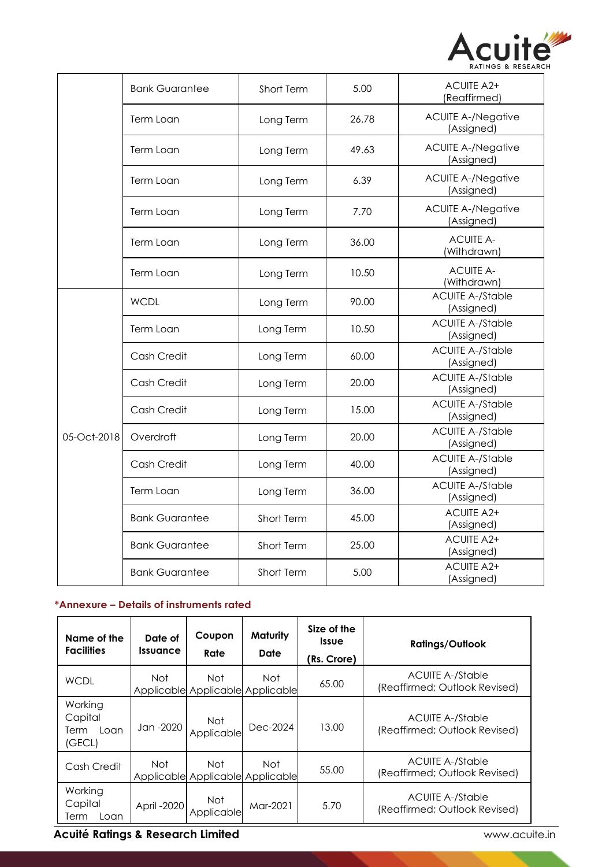

|             | <b>Bank Guarantee</b> | Short Term | 5.00  | <b>ACUITE A2+</b><br>(Reaffirmed)       |
|-------------|-----------------------|------------|-------|-----------------------------------------|
|             | Term Loan             | Long Term  | 26.78 | <b>ACUITE A-/Negative</b><br>(Assigned) |
|             | Term Loan             | Long Term  | 49.63 | <b>ACUITE A-/Negative</b><br>(Assigned) |
|             | Term Loan             | Long Term  | 6.39  | <b>ACUITE A-/Negative</b><br>(Assigned) |
|             | Term Loan             | Long Term  | 7.70  | <b>ACUITE A-/Negative</b><br>(Assigned) |
|             | Term Loan             | Long Term  | 36.00 | <b>ACUITE A-</b><br>(Withdrawn)         |
|             | Term Loan             | Long Term  | 10.50 | <b>ACUITE A-</b><br>(Withdrawn)         |
| 05-Oct-2018 | <b>WCDL</b>           | Long Term  | 90.00 | <b>ACUITE A-/Stable</b><br>(Assigned)   |
|             | Term Loan             | Long Term  | 10.50 | <b>ACUITE A-/Stable</b><br>(Assigned)   |
|             | Cash Credit           | Long Term  | 60.00 | <b>ACUITE A-/Stable</b><br>(Assigned)   |
|             | Cash Credit           | Long Term  | 20.00 | <b>ACUITE A-/Stable</b><br>(Assigned)   |
|             | Cash Credit           | Long Term  | 15.00 | <b>ACUITE A-/Stable</b><br>(Assigned)   |
|             | Overdraft             | Long Term  | 20.00 | <b>ACUITE A-/Stable</b><br>(Assigned)   |
|             | Cash Credit           | Long Term  | 40.00 | <b>ACUITE A-/Stable</b><br>(Assigned)   |
|             | Term Loan             | Long Term  | 36.00 | <b>ACUITE A-/Stable</b><br>(Assigned)   |
|             | <b>Bank Guarantee</b> | Short Term | 45.00 | <b>ACUITE A2+</b><br>(Assigned)         |
|             | <b>Bank Guarantee</b> | Short Term | 25.00 | <b>ACUITE A2+</b><br>(Assigned)         |
|             | <b>Bank Guarantee</b> | Short Term | 5.00  | <b>ACUITE A2+</b><br>(Assigned)         |

# **\*Annexure – Details of instruments rated**

| Name of the<br><b>Facilities</b>             | Date of<br><b>Issuance</b> | Coupon<br>Rate                           | <b>Maturity</b><br>Date | Size of the<br><i><u><b>Issue</b></u></i><br>(Rs. Crore) | <b>Ratings/Outlook</b>                                   |
|----------------------------------------------|----------------------------|------------------------------------------|-------------------------|----------------------------------------------------------|----------------------------------------------------------|
| <b>WCDL</b>                                  | Not.                       | Not.<br>Applicable Applicable Applicable | Not                     | 65.00                                                    | <b>ACUITE A-/Stable</b><br>(Reaffirmed; Outlook Revised) |
| Working<br>Capital<br>Term<br>Loan<br>(GECL) | Jan -2020                  | Not<br>Applicable                        | Dec-2024                | 13.00                                                    | ACUITE A-/Stable<br>(Reaffirmed; Outlook Revised)        |
| Cash Credit                                  | Not.                       | Not<br>Applicable Applicable Applicable  | Not.                    | 55.00                                                    | <b>ACUITE A-/Stable</b><br>(Reaffirmed; Outlook Revised) |
| Working<br>Capital<br>Term<br>Loan           | April -2020                | Not<br>Applicable                        | Mar-2021                | 5.70                                                     | ACUITE A-/Stable<br>(Reaffirmed; Outlook Revised)        |

**Acuité Ratings & Research Limited WWW.acuite.in**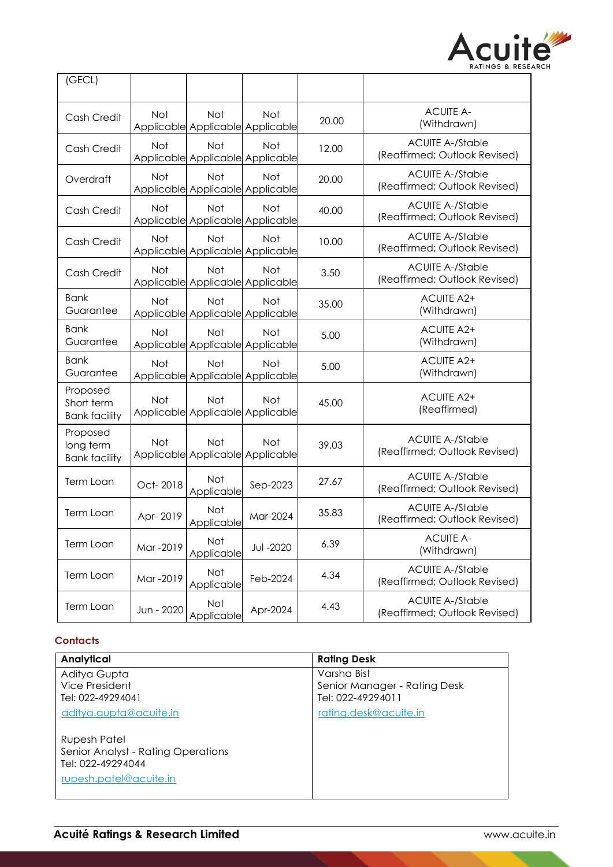

| (GECL)                                         |            |                                         |                                                |       |                                                          |
|------------------------------------------------|------------|-----------------------------------------|------------------------------------------------|-------|----------------------------------------------------------|
| Cash Credit                                    | Not        | <b>Not</b>                              | <b>Not</b><br>Applicable Applicable Applicable | 20.00 | <b>ACUITE A-</b><br>(Withdrawn)                          |
| Cash Credit                                    | Not        | Not<br>Applicable Applicable Applicable | Not                                            | 12.00 | <b>ACUITE A-/Stable</b><br>(Reaffirmed; Outlook Revised) |
| Overdraft                                      | Not        | Not                                     | Not<br>Applicable Applicable Applicable        | 20.00 | <b>ACUITE A-/Stable</b><br>(Reaffirmed; Outlook Revised) |
| Cash Credit                                    | Not        | Not                                     | Not<br>Applicable Applicable Applicable        | 40.00 | <b>ACUITE A-/Stable</b><br>(Reaffirmed; Outlook Revised) |
| Cash Credit                                    | Not        | Not                                     | Not<br>Applicable Applicable Applicable        | 10.00 | <b>ACUITE A-/Stable</b><br>(Reaffirmed; Outlook Revised) |
| Cash Credit                                    | Not        | Not                                     | Not<br>Applicable Applicable Applicable        | 3.50  | <b>ACUITE A-/Stable</b><br>(Reaffirmed; Outlook Revised) |
| <b>Bank</b><br>Guarantee                       | Not        | Not                                     | Not<br>Applicable Applicable Applicable        | 35.00 | <b>ACUITE A2+</b><br>(Withdrawn)                         |
| <b>Bank</b><br>Guarantee                       | Not        | Not                                     | Not<br>Applicable Applicable Applicable        | 5.00  | <b>ACUITE A2+</b><br>(Withdrawn)                         |
| <b>Bank</b><br>Guarantee                       | Not        | Not                                     | Not<br>Applicable Applicable Applicable        | 5.00  | <b>ACUITE A2+</b><br>(Withdrawn)                         |
| Proposed<br>Short term<br><b>Bank facility</b> | Not        | Not                                     | Not<br>Applicable Applicable Applicable        | 45.00 | <b>ACUITE A2+</b><br>(Reaffirmed)                        |
| Proposed<br>long term<br><b>Bank facility</b>  | Not        | Not                                     | Not<br>Applicable Applicable Applicable        | 39.03 | <b>ACUITE A-/Stable</b><br>(Reaffirmed; Outlook Revised) |
| Term Loan                                      | Oct-2018   | Not<br>Applicable                       | Sep-2023                                       | 27.67 | <b>ACUITE A-/Stable</b><br>(Reaffirmed; Outlook Revised) |
| Term Loan                                      | Apr-2019   | <b>Not</b><br>Applicable                | Mar-2024                                       | 35.83 | <b>ACUITE A-/Stable</b><br>(Reaffirmed; Outlook Revised) |
| Term Loan                                      | Mar -2019  | Not<br>Applicable                       | <b>Jul-2020</b>                                | 6.39  | <b>ACUITE A-</b><br>(Withdrawn)                          |
| Term Loan                                      | Mar -2019  | Not<br>Applicable                       | Feb-2024                                       | 4.34  | <b>ACUITE A-/Stable</b><br>(Reaffirmed; Outlook Revised) |
| Term Loan                                      | Jun - 2020 | Not<br>Applicable                       | Apr-2024                                       | 4.43  | <b>ACUITE A-/Stable</b><br>(Reaffirmed; Outlook Revised) |

# **Contacts**

| Analytical                         | <b>Rating Desk</b>           |
|------------------------------------|------------------------------|
| Aditya Gupta                       | Varsha Bist                  |
| Vice President                     | Senior Manager - Rating Desk |
| Tel: 022-49294041                  | Tel: 022-49294011            |
| aditya.gupta@acuite.in             | rating.desk@acuite.in        |
| Rupesh Patel                       |                              |
| Senior Analyst - Rating Operations |                              |
| Tel: 022-49294044                  |                              |
| rupesh.patel@acuite.in             |                              |
|                                    |                              |